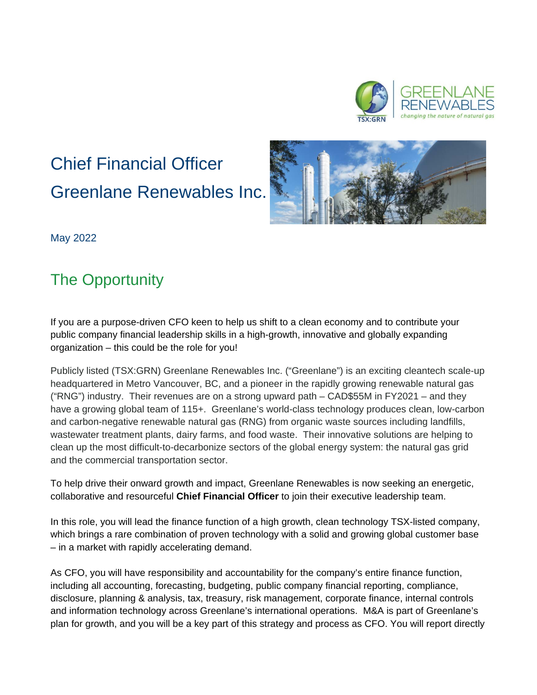

# Chief Financial Officer Greenlane Renewables Inc.



May 2022

# The Opportunity

If you are a purpose-driven CFO keen to help us shift to a clean economy and to contribute your public company financial leadership skills in a high-growth, innovative and globally expanding organization – this could be the role for you!

Publicly listed (TSX:GRN) Greenlane Renewables Inc. ("Greenlane") is an exciting cleantech scale-up headquartered in Metro Vancouver, BC, and a pioneer in the rapidly growing renewable natural gas ("RNG") industry. Their revenues are on a strong upward path – CAD\$55M in FY2021 – and they have a growing global team of 115+. Greenlane's world-class technology produces clean, low-carbon and carbon-negative renewable natural gas (RNG) from organic waste sources including landfills, wastewater treatment plants, dairy farms, and food waste. Their innovative solutions are helping to clean up the most difficult-to-decarbonize sectors of the global energy system: the natural gas grid and the commercial transportation sector.

To help drive their onward growth and impact, Greenlane Renewables is now seeking an energetic, collaborative and resourceful **Chief Financial Officer** to join their executive leadership team.

In this role, you will lead the finance function of a high growth, clean technology TSX-listed company, which brings a rare combination of proven technology with a solid and growing global customer base – in a market with rapidly accelerating demand.

As CFO, you will have responsibility and accountability for the company's entire finance function, including all accounting, forecasting, budgeting, public company financial reporting, compliance, disclosure, planning & analysis, tax, treasury, risk management, corporate finance, internal controls and information technology across Greenlane's international operations. M&A is part of Greenlane's plan for growth, and you will be a key part of this strategy and process as CFO. You will report directly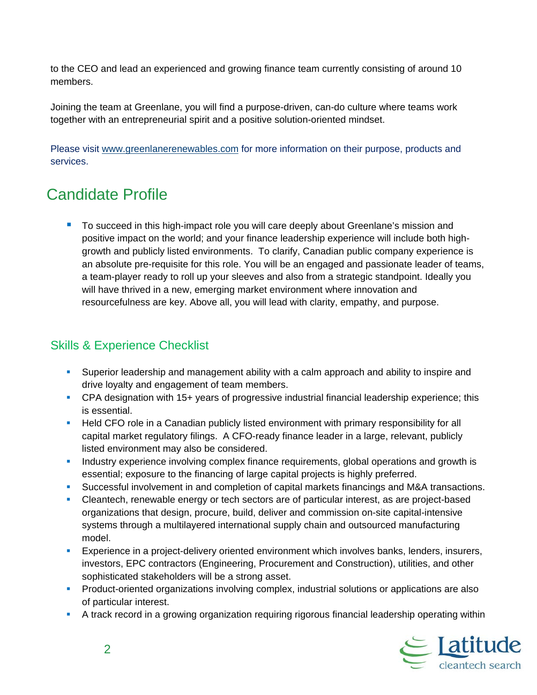to the CEO and lead an experienced and growing finance team currently consisting of around 10 members.

Joining the team at Greenlane, you will find a purpose-driven, can-do culture where teams work together with an entrepreneurial spirit and a positive solution-oriented mindset.

Please visit [www.greenlanerenewables.com](http://www.greenlanerenewables.com/) for more information on their purpose, products and services.

## Candidate Profile

■ To succeed in this high-impact role you will care deeply about Greenlane's mission and positive impact on the world; and your finance leadership experience will include both highgrowth and publicly listed environments. To clarify, Canadian public company experience is an absolute pre-requisite for this role. You will be an engaged and passionate leader of teams, a team-player ready to roll up your sleeves and also from a strategic standpoint. Ideally you will have thrived in a new, emerging market environment where innovation and resourcefulness are key. Above all, you will lead with clarity, empathy, and purpose.

#### Skills & Experience Checklist

- Superior leadership and management ability with a calm approach and ability to inspire and drive loyalty and engagement of team members.
- CPA designation with 15+ years of progressive industrial financial leadership experience; this is essential.
- **Held CFO role in a Canadian publicly listed environment with primary responsibility for all** capital market regulatory filings. A CFO-ready finance leader in a large, relevant, publicly listed environment may also be considered.
- **Industry experience involving complex finance requirements, global operations and growth is** essential; exposure to the financing of large capital projects is highly preferred.
- Successful involvement in and completion of capital markets financings and M&A transactions.
- Cleantech, renewable energy or tech sectors are of particular interest, as are project-based organizations that design, procure, build, deliver and commission on-site capital-intensive systems through a multilayered international supply chain and outsourced manufacturing model.
- Experience in a project-delivery oriented environment which involves banks, lenders, insurers, investors, EPC contractors (Engineering, Procurement and Construction), utilities, and other sophisticated stakeholders will be a strong asset.
- **Product-oriented organizations involving complex, industrial solutions or applications are also** of particular interest.
- A track record in a growing organization requiring rigorous financial leadership operating within